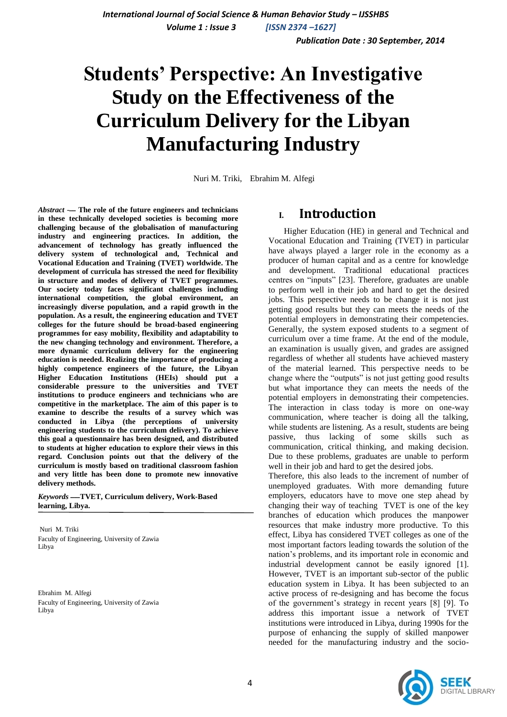*Volume 1 : Issue 3 [ISSN 2374 –1627]*

 *Publication Date : 30 September, 2014*

# **Students' Perspective: An Investigative Study on the Effectiveness of the Curriculum Delivery for the Libyan Manufacturing Industry**

Nuri M. Triki, Ebrahim M. Alfegi

*Abstract* -ــــ **The role of the future engineers and technicians in these technically developed societies is becoming more challenging because of the globalisation of manufacturing industry and engineering practices. In addition, the advancement of technology has greatly influenced the delivery system of technological and, Technical and Vocational Education and Training (TVET) worldwide. The development of curricula has stressed the need for flexibility in structure and modes of delivery of TVET programmes. Our society today faces significant challenges including international competition, the global environment, an increasingly diverse population, and a rapid growth in the population. As a result, the engineering education and TVET colleges for the future should be broad-based engineering programmes for easy mobility, flexibility and adaptability to the new changing technology and environment. Therefore, a more dynamic curriculum delivery for the engineering education is needed. Realizing the importance of producing a highly competence engineers of the future, the Libyan Higher Education Institutions (HEIs) should put a considerable pressure to the universities and TVET institutions to produce engineers and technicians who are competitive in the marketplace. The aim of this paper is to examine to describe the results of a survey which was conducted in Libya (the perceptions of university engineering students to the curriculum delivery). To achieve this goal a questionnaire has been designed, and distributed to students at higher education to explore their views in this regard. Conclusion points out that the delivery of the curriculum is mostly based on traditional classroom fashion and very little has been done to promote new innovative delivery methods.**

*Keywords* ــــــ**TVET, Curriculum delivery, Work-Based learning, Libya.**

Nuri M. Triki Faculty of Engineering, University of Zawia Libya

Ebrahim M. Alfegi Faculty of Engineering, University of Zawia Libya

### **I. Introduction**

Higher Education (HE) in general and Technical and Vocational Education and Training (TVET) in particular have always played a larger role in the economy as a producer of human capital and as a centre for knowledge and development. Traditional educational practices centres on "inputs" [23]. Therefore, graduates are unable to perform well in their job and hard to get the desired jobs. This perspective needs to be change it is not just getting good results but they can meets the needs of the potential employers in demonstrating their competencies. Generally, the system exposed students to a segment of curriculum over a time frame. At the end of the module, an examination is usually given, and grades are assigned regardless of whether all students have achieved mastery of the material learned. This perspective needs to be change where the "outputs" is not just getting good results but what importance they can meets the needs of the potential employers in demonstrating their competencies. The interaction in class today is more on one-way communication, where teacher is doing all the talking, while students are listening. As a result, students are being passive, thus lacking of some skills such as communication, critical thinking, and making decision. Due to these problems, graduates are unable to perform well in their job and hard to get the desired jobs.

Therefore, this also leads to the increment of number of unemployed graduates. With more demanding future employers, educators have to move one step ahead by changing their way of teaching TVET is one of the key branches of education which produces the manpower resources that make industry more productive. To this effect, Libya has considered TVET colleges as one of the most important factors leading towards the solution of the nation"s problems, and its important role in economic and industrial development cannot be easily ignored [1]. However, TVET is an important sub-sector of the public education system in Libya. It has been subjected to an active process of re-designing and has become the focus of the government"s strategy in recent years [8] [9]. To address this important issue a network of TVET institutions were introduced in Libya, during 1990s for the purpose of enhancing the supply of skilled manpower needed for the manufacturing industry and the socio-

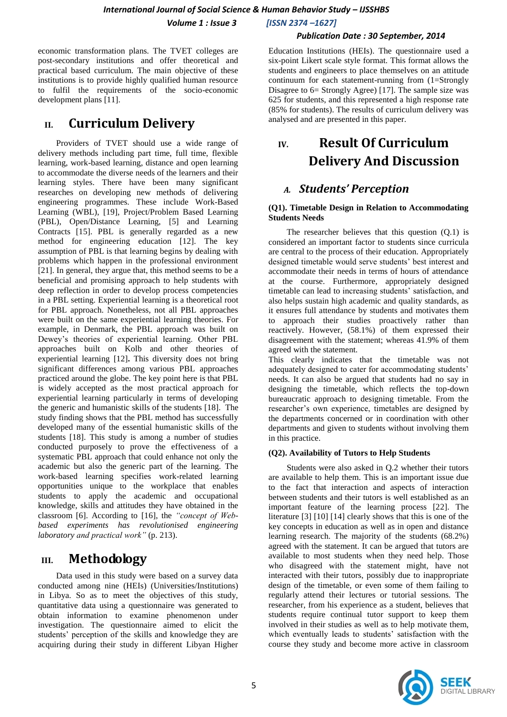### *International Journal of Social Science & Human Behavior Study – IJSSHBS*

 *Volume 1 : Issue 3 [ISSN 2374 –1627]*

#### *Publication Date : 30 September, 2014*

economic transformation plans. The TVET colleges are post-secondary institutions and offer theoretical and practical based curriculum. The main objective of these institutions is to provide highly qualified human resource to fulfil the requirements of the socio-economic development plans [11].

### **II. Curriculum Delivery**

Providers of TVET should use a wide range of delivery methods including part time, full time, flexible learning, work-based learning, distance and open learning to accommodate the diverse needs of the learners and their learning styles. There have been many significant researches on developing new methods of delivering engineering programmes. These include Work-Based Learning (WBL), [19], Project/Problem Based Learning (PBL), Open/Distance Learning, [5] and Learning Contracts [15]. PBL is generally regarded as a new method for engineering education [12]. The key assumption of PBL is that learning begins by dealing with problems which happen in the professional environment [21]. In general, they argue that, this method seems to be a beneficial and promising approach to help students with deep reflection in order to develop process competencies in a PBL setting. Experiential learning is a theoretical root for PBL approach. Nonetheless, not all PBL approaches were built on the same experiential learning theories. For example, in Denmark, the PBL approach was built on Dewey"s theories of experiential learning. Other PBL approaches built on Kolb and other theories of experiential learning [12]**.** This diversity does not bring significant differences among various PBL approaches practiced around the globe. The key point here is that PBL is widely accepted as the most practical approach for experiential learning particularly in terms of developing the generic and humanistic skills of the students [18]. The study finding shows that the PBL method has successfully developed many of the essential humanistic skills of the students [18]. This study is among a number of studies conducted purposely to prove the effectiveness of a systematic PBL approach that could enhance not only the academic but also the generic part of the learning. The work-based learning specifies work-related learning opportunities unique to the workplace that enables students to apply the academic and occupational knowledge, skills and attitudes they have obtained in the classroom [6]. According to [16], the *"concept of Webbased experiments has revolutionised engineering laboratory and practical work"* (p. 213).

### **III. Methodology**

Data used in this study were based on a survey data conducted among nine (HEIs) (Universities/Institutions) in Libya. So as to meet the objectives of this study, quantitative data using a questionnaire was generated to obtain information to examine phenomenon under investigation. The questionnaire aimed to elicit the students" perception of the skills and knowledge they are acquiring during their study in different Libyan Higher

Education Institutions (HEIs). The questionnaire used a six-point Likert scale style format. This format allows the students and engineers to place themselves on an attitude continuum for each statement-running from (1=Strongly Disagree to 6= Strongly Agree) [17]. The sample size was 625 for students, and this represented a high response rate (85% for students). The results of curriculum delivery was analysed and are presented in this paper.

## **IV. Result Of Curriculum Delivery And Discussion**

### *A. Students' Perception*

#### **(Q1). Timetable Design in Relation to Accommodating Students Needs**

The researcher believes that this question (Q.1) is considered an important factor to students since curricula are central to the process of their education. Appropriately designed timetable would serve students' best interest and accommodate their needs in terms of hours of attendance at the course. Furthermore, appropriately designed timetable can lead to increasing students' satisfaction, and also helps sustain high academic and quality standards, as it ensures full attendance by students and motivates them to approach their studies proactively rather than reactively. However, (58.1%) of them expressed their disagreement with the statement; whereas 41.9% of them agreed with the statement.

This clearly indicates that the timetable was not adequately designed to cater for accommodating students' needs. It can also be argued that students had no say in designing the timetable, which reflects the top-down bureaucratic approach to designing timetable. From the researcher"s own experience, timetables are designed by the departments concerned or in coordination with other departments and given to students without involving them in this practice.

#### **(Q2). Availability of Tutors to Help Students**

Students were also asked in Q.2 whether their tutors are available to help them. This is an important issue due to the fact that interaction and aspects of interaction between students and their tutors is well established as an important feature of the learning process [22]. The literature [3] [10] [14] clearly shows that this is one of the key concepts in education as well as in open and distance learning research. The majority of the students (68.2%) agreed with the statement. It can be argued that tutors are available to most students when they need help. Those who disagreed with the statement might, have not interacted with their tutors, possibly due to inappropriate design of the timetable, or even some of them failing to regularly attend their lectures or tutorial sessions. The researcher, from his experience as a student, believes that students require continual tutor support to keep them involved in their studies as well as to help motivate them, which eventually leads to students' satisfaction with the course they study and become more active in classroom

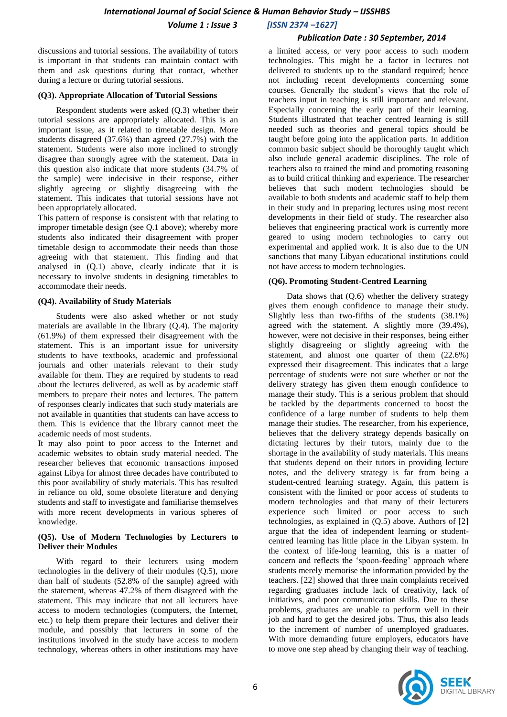#### *International Journal of Social Science & Human Behavior Study – IJSSHBS Volume 1 : Issue 3 [ISSN 2374 –1627]*

#### *Publication Date : 30 September, 2014*

discussions and tutorial sessions. The availability of tutors is important in that students can maintain contact with them and ask questions during that contact, whether during a lecture or during tutorial sessions.

#### **(Q3). Appropriate Allocation of Tutorial Sessions**

Respondent students were asked (Q.3) whether their tutorial sessions are appropriately allocated. This is an important issue, as it related to timetable design. More students disagreed (37.6%) than agreed (27.7%) with the statement. Students were also more inclined to strongly disagree than strongly agree with the statement. Data in this question also indicate that more students (34.7% of the sample) were indecisive in their response, either slightly agreeing or slightly disagreeing with the statement. This indicates that tutorial sessions have not been appropriately allocated.

This pattern of response is consistent with that relating to improper timetable design (see Q.1 above); whereby more students also indicated their disagreement with proper timetable design to accommodate their needs than those agreeing with that statement. This finding and that analysed in (Q.1) above, clearly indicate that it is necessary to involve students in designing timetables to accommodate their needs.

#### **(Q4). Availability of Study Materials**

Students were also asked whether or not study materials are available in the library (Q.4). The majority (61.9%) of them expressed their disagreement with the statement. This is an important issue for university students to have textbooks, academic and professional journals and other materials relevant to their study available for them. They are required by students to read about the lectures delivered, as well as by academic staff members to prepare their notes and lectures. The pattern of responses clearly indicates that such study materials are not available in quantities that students can have access to them. This is evidence that the library cannot meet the academic needs of most students.

It may also point to poor access to the Internet and academic websites to obtain study material needed. The researcher believes that economic transactions imposed against Libya for almost three decades have contributed to this poor availability of study materials. This has resulted in reliance on old, some obsolete literature and denying students and staff to investigate and familiarise themselves with more recent developments in various spheres of knowledge.

#### **(Q5). Use of Modern Technologies by Lecturers to Deliver their Modules**

With regard to their lecturers using modern technologies in the delivery of their modules (Q.5), more than half of students (52.8% of the sample) agreed with the statement, whereas 47.2% of them disagreed with the statement. This may indicate that not all lecturers have access to modern technologies (computers, the Internet, etc.) to help them prepare their lectures and deliver their module, and possibly that lecturers in some of the institutions involved in the study have access to modern technology, whereas others in other institutions may have

a limited access, or very poor access to such modern technologies. This might be a factor in lectures not delivered to students up to the standard required; hence not including recent developments concerning some courses. Generally the student"s views that the role of teachers input in teaching is still important and relevant. Especially concerning the early part of their learning. Students illustrated that teacher centred learning is still needed such as theories and general topics should be taught before going into the application parts. In addition common basic subject should be thoroughly taught which also include general academic disciplines. The role of teachers also to trained the mind and promoting reasoning as to build critical thinking and experience. The researcher believes that such modern technologies should be available to both students and academic staff to help them in their study and in preparing lectures using most recent developments in their field of study. The researcher also believes that engineering practical work is currently more geared to using modern technologies to carry out experimental and applied work. It is also due to the UN sanctions that many Libyan educational institutions could not have access to modern technologies.

#### **(Q6). Promoting Student-Centred Learning**

Data shows that (Q.6) whether the delivery strategy gives them enough confidence to manage their study. Slightly less than two-fifths of the students (38.1%) agreed with the statement. A slightly more (39.4%), however, were not decisive in their responses, being either slightly disagreeing or slightly agreeing with the statement, and almost one quarter of them (22.6%) expressed their disagreement. This indicates that a large percentage of students were not sure whether or not the delivery strategy has given them enough confidence to manage their study. This is a serious problem that should be tackled by the departments concerned to boost the confidence of a large number of students to help them manage their studies. The researcher, from his experience, believes that the delivery strategy depends basically on dictating lectures by their tutors, mainly due to the shortage in the availability of study materials. This means that students depend on their tutors in providing lecture notes, and the delivery strategy is far from being a student-centred learning strategy. Again, this pattern is consistent with the limited or poor access of students to modern technologies and that many of their lecturers experience such limited or poor access to such technologies, as explained in (Q.5) above. Authors of [2] argue that the idea of independent learning or studentcentred learning has little place in the Libyan system. In the context of life-long learning, this is a matter of concern and reflects the 'spoon-feeding' approach where students merely memorise the information provided by the teachers. [22] showed that three main complaints received regarding graduates include lack of creativity, lack of initiatives, and poor communication skills. Due to these problems, graduates are unable to perform well in their job and hard to get the desired jobs. Thus, this also leads to the increment of number of unemployed graduates. With more demanding future employers, educators have to move one step ahead by changing their way of teaching.

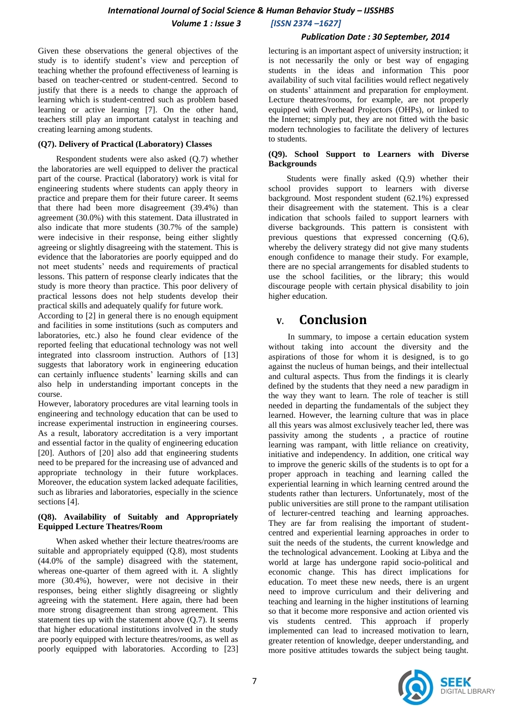#### *International Journal of Social Science & Human Behavior Study – IJSSHBS Volume 1 : Issue 3 [ISSN 2374 –1627]*

#### *Publication Date : 30 September, 2014*

Given these observations the general objectives of the study is to identify student"s view and perception of teaching whether the profound effectiveness of learning is based on teacher-centred or student-centred. Second to justify that there is a needs to change the approach of learning which is student-centred such as problem based learning or active learning [7]. On the other hand, teachers still play an important catalyst in teaching and creating learning among students.

#### **(Q7). Delivery of Practical (Laboratory) Classes**

Respondent students were also asked (Q.7) whether the laboratories are well equipped to deliver the practical part of the course. Practical (laboratory) work is vital for engineering students where students can apply theory in practice and prepare them for their future career. It seems that there had been more disagreement (39.4%) than agreement (30.0%) with this statement. Data illustrated in also indicate that more students (30.7% of the sample) were indecisive in their response, being either slightly agreeing or slightly disagreeing with the statement. This is evidence that the laboratories are poorly equipped and do not meet students" needs and requirements of practical lessons. This pattern of response clearly indicates that the study is more theory than practice. This poor delivery of practical lessons does not help students develop their practical skills and adequately qualify for future work.

According to [2] in general there is no enough equipment and facilities in some institutions (such as computers and laboratories, etc.) also he found clear evidence of the reported feeling that educational technology was not well integrated into classroom instruction. Authors of [13] suggests that laboratory work in engineering education can certainly influence students' learning skills and can also help in understanding important concepts in the course.

However, laboratory procedures are vital learning tools in engineering and technology education that can be used to increase experimental instruction in engineering courses. As a result, laboratory accreditation is a very important and essential factor in the quality of engineering education [20]. Authors of [20] also add that engineering students need to be prepared for the increasing use of advanced and appropriate technology in their future workplaces. Moreover, the education system lacked adequate facilities, such as libraries and laboratories, especially in the science sections [4].

#### **(Q8). Availability of Suitably and Appropriately Equipped Lecture Theatres/Room**

When asked whether their lecture theatres/rooms are suitable and appropriately equipped (Q.8), most students (44.0% of the sample) disagreed with the statement, whereas one-quarter of them agreed with it. A slightly more (30.4%), however, were not decisive in their responses, being either slightly disagreeing or slightly agreeing with the statement. Here again, there had been more strong disagreement than strong agreement. This statement ties up with the statement above (Q.7). It seems that higher educational institutions involved in the study are poorly equipped with lecture theatres/rooms, as well as poorly equipped with laboratories. According to [23]

lecturing is an important aspect of university instruction; it is not necessarily the only or best way of engaging students in the ideas and information This poor availability of such vital facilities would reflect negatively on students" attainment and preparation for employment. Lecture theatres/rooms, for example, are not properly equipped with Overhead Projectors (OHPs), or linked to the Internet; simply put, they are not fitted with the basic modern technologies to facilitate the delivery of lectures to students.

#### **(Q9). School Support to Learners with Diverse Backgrounds**

Students were finally asked (Q.9) whether their school provides support to learners with diverse background. Most respondent student (62.1%) expressed their disagreement with the statement. This is a clear indication that schools failed to support learners with diverse backgrounds. This pattern is consistent with previous questions that expressed concerning (Q.6), whereby the delivery strategy did not give many students enough confidence to manage their study. For example, there are no special arrangements for disabled students to use the school facilities, or the library; this would discourage people with certain physical disability to join higher education.

### **V. Conclusion**

In summary, to impose a certain education system without taking into account the diversity and the aspirations of those for whom it is designed, is to go against the nucleus of human beings, and their intellectual and cultural aspects. Thus from the findings it is clearly defined by the students that they need a new paradigm in the way they want to learn. The role of teacher is still needed in departing the fundamentals of the subject they learned. However, the learning culture that was in place all this years was almost exclusively teacher led, there was passivity among the students , a practice of routine learning was rampant, with little reliance on creativity, initiative and independency. In addition, one critical way to improve the generic skills of the students is to opt for a proper approach in teaching and learning called the experiential learning in which learning centred around the students rather than lecturers. Unfortunately, most of the public universities are still prone to the rampant utilisation of lecturer-centred teaching and learning approaches. They are far from realising the important of studentcentred and experiential learning approaches in order to suit the needs of the students, the current knowledge and the technological advancement. Looking at Libya and the world at large has undergone rapid socio-political and economic change. This has direct implications for education. To meet these new needs, there is an urgent need to improve curriculum and their delivering and teaching and learning in the higher institutions of learning so that it become more responsive and action oriented vis vis students centred. This approach if properly implemented can lead to increased motivation to learn, greater retention of knowledge, deeper understanding, and more positive attitudes towards the subject being taught.